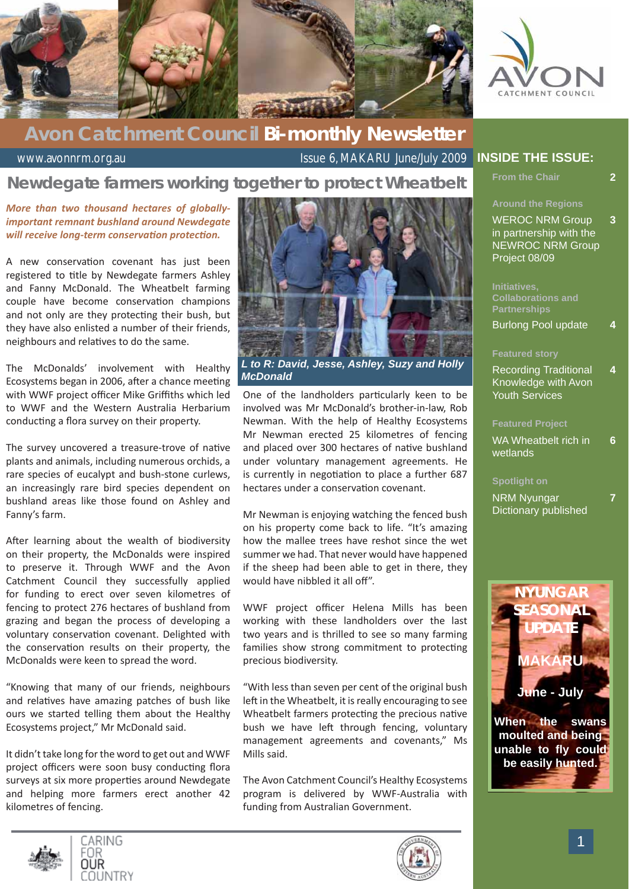



### **Avon Catchment Council Bi-monthly Newsletter**

www.avonnrm.org.au Issue 6, MAKARU June/July 2009

### **Newdegate farmers working together to protect Wheatbelt**

#### *More than two thousand hectares of globallyimportant remnant bushland around Newdegate will receive long-term conservation protection.*

A new conservation covenant has just been registered to title by Newdegate farmers Ashley and Fanny McDonald. The Wheatbelt farming couple have become conservation champions and not only are they protecting their bush, but they have also enlisted a number of their friends, neighbours and relatives to do the same.

The McDonalds' involvement with Healthy Ecosystems began in 2006, after a chance meeting with WWF project officer Mike Griffiths which led to WWF and the Western Australia Herbarium conducting a flora survey on their property.

The survey uncovered a treasure-trove of native plants and animals, including numerous orchids, a rare species of eucalypt and bush-stone curlews, an increasingly rare bird species dependent on bushland areas like those found on Ashley and Fanny's farm.

After learning about the wealth of biodiversity on their property, the McDonalds were inspired to preserve it. Through WWF and the Avon Catchment Council they successfully applied for funding to erect over seven kilometres of fencing to protect 276 hectares of bushland from grazing and began the process of developing a voluntary conservation covenant. Delighted with the conservation results on their property, the McDonalds were keen to spread the word.

"Knowing that many of our friends, neighbours and relatives have amazing patches of bush like ours we started telling them about the Healthy Ecosystems project," Mr McDonald said.

It didn't take long for the word to get out and WWF project officers were soon busy conducting flora surveys at six more properties around Newdegate and helping more farmers erect another 42 kilometres of fencing.



*L to R: David, Jesse, Ashley, Suzy and Holly McDonald*

One of the landholders particularly keen to be involved was Mr McDonald's brother-in-law, Rob Newman. With the help of Healthy Ecosystems Mr Newman erected 25 kilometres of fencing and placed over 300 hectares of native bushland under voluntary management agreements. He is currently in negotiation to place a further 687 hectares under a conservation covenant.

Mr Newman is enjoying watching the fenced bush on his property come back to life. "It's amazing how the mallee trees have reshot since the wet summer we had. That never would have happened if the sheep had been able to get in there, they would have nibbled it all off".

WWF project officer Helena Mills has been working with these landholders over the last two years and is thrilled to see so many farming families show strong commitment to protecting precious biodiversity.

"With less than seven per cent of the original bush left in the Wheatbelt, it is really encouraging to see Wheatbelt farmers protecting the precious native bush we have left through fencing, voluntary management agreements and covenants," Ms Mills said.

The Avon Catchment Council's Healthy Ecosystems program is delivered by WWF-Australia with funding from Australian Government.

#### **INSIDE THE ISSUE:**

**From the Chair** 

**7**

**Around the Regions**

WEROC NRM Group in partnership with the NEWROC NRM Group Project 08/09 **3**

**Initiatives,** 

Burlong Pool update **4**

#### **Featured story**

Recording Traditional Knowledge with Avon Youth Services **4**

#### **Featured Project**

WA Wheatbelt rich in wetlands **6**

#### **Spotlight on**

NRM Nyungar Dictionary published







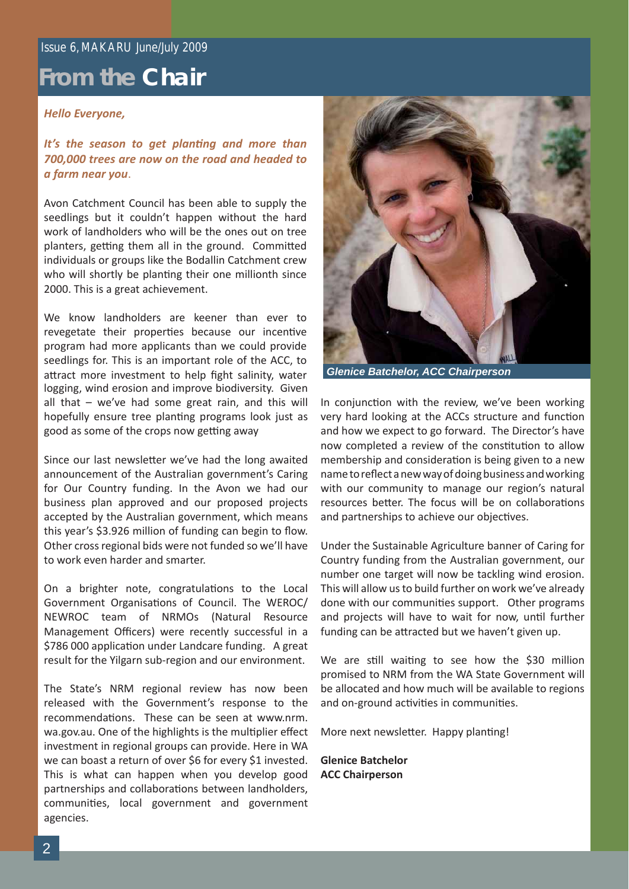### Issue 6, MAKARU June/July 2009

### **From the Chair**

#### *Hello Everyone,*

*It's the season to get planting and more than 700,000 trees are now on the road and headed to a farm near you*.

Avon Catchment Council has been able to supply the seedlings but it couldn't happen without the hard work of landholders who will be the ones out on tree planters, getting them all in the ground. Committed individuals or groups like the Bodallin Catchment crew who will shortly be planting their one millionth since 2000. This is a great achievement.

logging, wind erosion and improve biodiversity. Given all that – we've had some great rain, and this will hopefully ensure tree planting programs look just as good as some of the crops now getting away We know landholders are keener than ever to revegetate their properties because our incentive program had more applicants than we could provide seedlings for. This is an important role of the ACC, to attract more investment to help fight salinity, water

Since our last newsletter we've had the long awaited announcement of the Australian government's Caring for Our Country funding. In the Avon we had our business plan approved and our proposed projects accepted by the Australian government, which means this year's \$3.926 million of funding can begin to flow. Other cross regional bids were not funded so we'll have to work even harder and smarter.

On a brighter note, congratulations to the Local Government Organisations of Council. The WEROC/ NEWROC team of NRMOs (Natural Resource Management Officers) were recently successful in a \$786 000 application under Landcare funding. A great result for the Yilgarn sub-region and our environment.

The State's NRM regional review has now been released with the Government's response to the recommendations. These can be seen at www.nrm. wa.gov.au. One of the highlights is the multiplier effect investment in regional groups can provide. Here in WA we can boast a return of over \$6 for every \$1 invested. This is what can happen when you develop good partnerships and collaborations between landholders, communities, local government and government agencies.



*Glenice Batchelor, ACC Chairperson*

In conjunction with the review, we've been working very hard looking at the ACCs structure and function and how we expect to go forward. The Director's have now completed a review of the constitution to allow membership and consideration is being given to a new name to reflect a new way of doing business and working with our community to manage our region's natural resources better. The focus will be on collaborations and partnerships to achieve our objectives.

Under the Sustainable Agriculture banner of Caring for Country funding from the Australian government, our number one target will now be tackling wind erosion. This will allow us to build further on work we've already done with our communities support. Other programs and projects will have to wait for now, until further funding can be attracted but we haven't given up.

We are still waiting to see how the \$30 million promised to NRM from the WA State Government will be allocated and how much will be available to regions and on-ground activities in communities.

More next newsletter. Happy planting!

**Glenice Batchelor ACC Chairperson**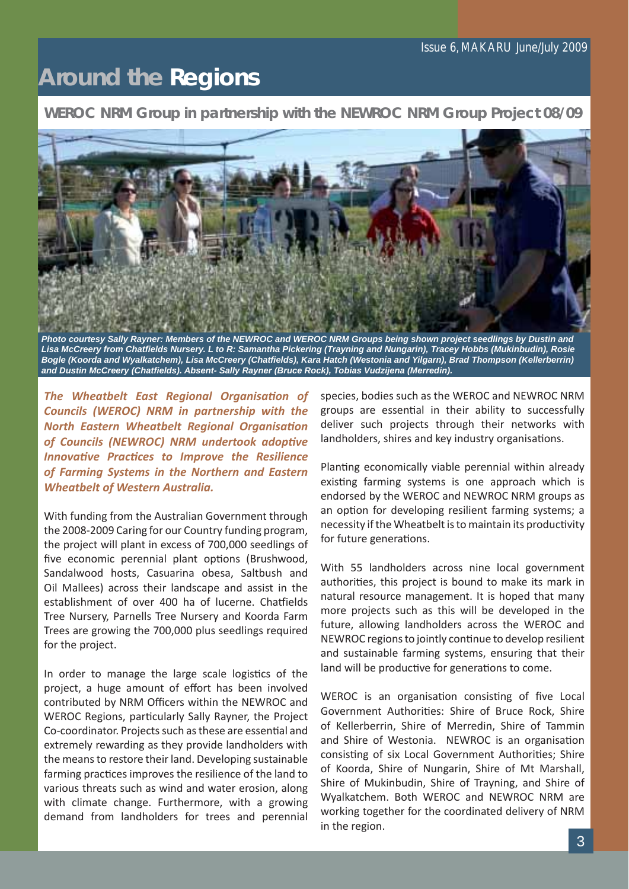# **Around the Regions**

**WEROC NRM Group in partnership with the NEWROC NRM Group Project 08/09**



*Lisa McCreery from Chatfi elds Nursery. L to R: Samantha Pickering (Trayning and Nungarin), Tracey Hobbs (Mukinbudin), Rosie Bogle (Koorda and Wyalkatchem), Lisa McCreery (Chatfi elds), Kara Hatch (Westonia and Yilgarn), Brad Thompson (Kellerberrin) and Dustin McCreery (Chatfi elds). Absent- Sally Rayner (Bruce Rock), Tobias Vudzijena (Merredin).*

*The Wheatbelt East Regional Organisation of Councils (WEROC) NRM in partnership with the*  **North Eastern Wheatbelt Regional Organisation of Councils (NEWROC) NRM undertook adoptive** *Innovative Practices to Improve the Resilience of Farming Systems in the Northern and Eastern Wheatbelt of Western Australia.*

With funding from the Australian Government through the 2008-2009 Caring for our Country funding program, the project will plant in excess of 700,000 seedlings of five economic perennial plant options (Brushwood, Sandalwood hosts, Casuarina obesa, Saltbush and Oil Mallees) across their landscape and assist in the establishment of over 400 ha of lucerne. Chatfields Tree Nursery, Parnells Tree Nursery and Koorda Farm Trees are growing the 700,000 plus seedlings required for the project.

In order to manage the large scale logistics of the project, a huge amount of effort has been involved contributed by NRM Officers within the NEWROC and WEROC Regions, particularly Sally Rayner, the Project Co-coordinator. Projects such as these are essential and extremely rewarding as they provide landholders with the means to restore their land. Developing sustainable farming practices improves the resilience of the land to various threats such as wind and water erosion, along with climate change. Furthermore, with a growing demand from landholders for trees and perennial

species, bodies such as the WEROC and NEWROC NRM groups are essential in their ability to successfully deliver such projects through their networks with landholders, shires and key industry organisations.

Planting economically viable perennial within already existing farming systems is one approach which is endorsed by the WEROC and NEWROC NRM groups as an option for developing resilient farming systems; a necessity if the Wheatbelt is to maintain its productivity for future generations.

With 55 landholders across nine local government authorities, this project is bound to make its mark in natural resource management. It is hoped that many more projects such as this will be developed in the future, allowing landholders across the WEROC and NEWROC regions to jointly continue to develop resilient and sustainable farming systems, ensuring that their land will be productive for generations to come.

WEROC is an organisation consisting of five Local Government Authorities: Shire of Bruce Rock, Shire of Kellerberrin, Shire of Merredin, Shire of Tammin and Shire of Westonia. NEWROC is an organisation consisting of six Local Government Authorities; Shire of Koorda, Shire of Nungarin, Shire of Mt Marshall, Shire of Mukinbudin, Shire of Trayning, and Shire of Wyalkatchem. Both WEROC and NEWROC NRM are working together for the coordinated delivery of NRM in the region.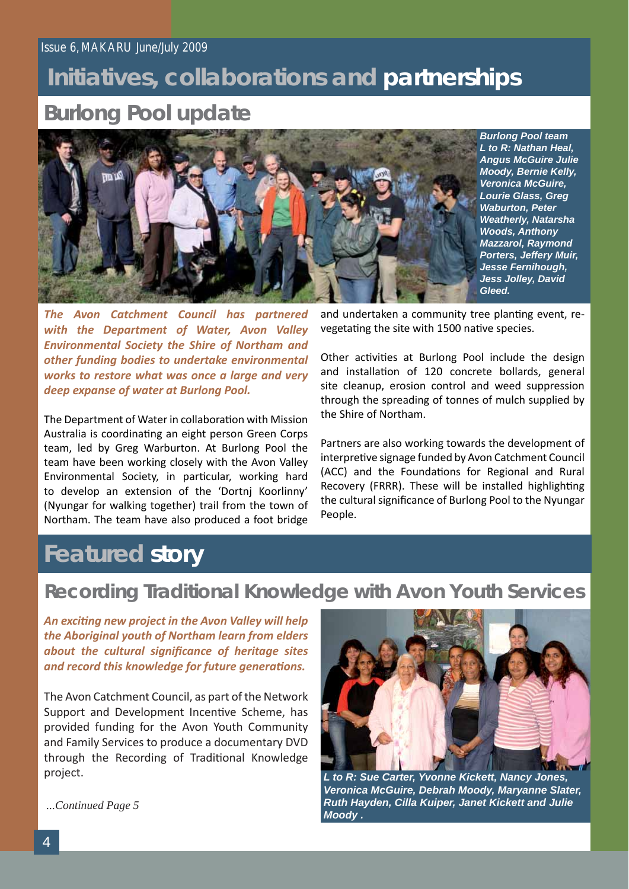# **Initiatives, collaborations and partnerships**

### **Burlong Pool update**



*Burlong Pool team L to R: Nathan Heal, Angus McGuire Julie Moody, Bernie Kelly, Veronica McGuire, Lourie Glass, Greg Waburton, Peter Weatherly, Natarsha Woods, Anthony Mazzarol, Raymond Porters, Jeffery Muir, Jesse Fernihough, Jess Jolley, David Gleed.*

*The Avon Catchment Council has partnered with the Department of Water, Avon Valley Environmental Society the Shire of Northam and other funding bodies to undertake environmental works to restore what was once a large and very deep expanse of water at Burlong Pool.*

The Department of Water in collaboration with Mission Australia is coordinating an eight person Green Corps team, led by Greg Warburton. At Burlong Pool the team have been working closely with the Avon Valley Environmental Society, in particular, working hard to develop an extension of the 'Dortnj Koorlinny' (Nyungar for walking together) trail from the town of Northam. The team have also produced a foot bridge

and undertaken a community tree planting event, revegetating the site with 1500 native species.

Other activities at Burlong Pool include the design and installation of 120 concrete bollards, general site cleanup, erosion control and weed suppression through the spreading of tonnes of mulch supplied by the Shire of Northam.

Partners are also working towards the development of interpretive signage funded by Avon Catchment Council (ACC) and the Foundations for Regional and Rural Recovery (FRRR). These will be installed highlighting the cultural significance of Burlong Pool to the Nyungar People.

# **Featured story**

### **Recording Traditional Knowledge with Avon Youth Services**

*An exciti ng new project in the Avon Valley will help the Aboriginal youth of Northam learn from elders*  about the cultural significance of heritage sites *and record this knowledge for future generations.* 

The Avon Catchment Council, as part of the Network Support and Development Incentive Scheme, has provided funding for the Avon Youth Community and Family Services to produce a documentary DVD through the Recording of Traditional Knowledge project.



*L to R: Sue Carter, Yvonne Kickett, Nancy Jones, Veronica McGuire, Debrah Moody, Maryanne Slater, Ruth Hayden, Cilla Kuiper, Janet Kickett and Julie Moody .*

*...Continued Page 5*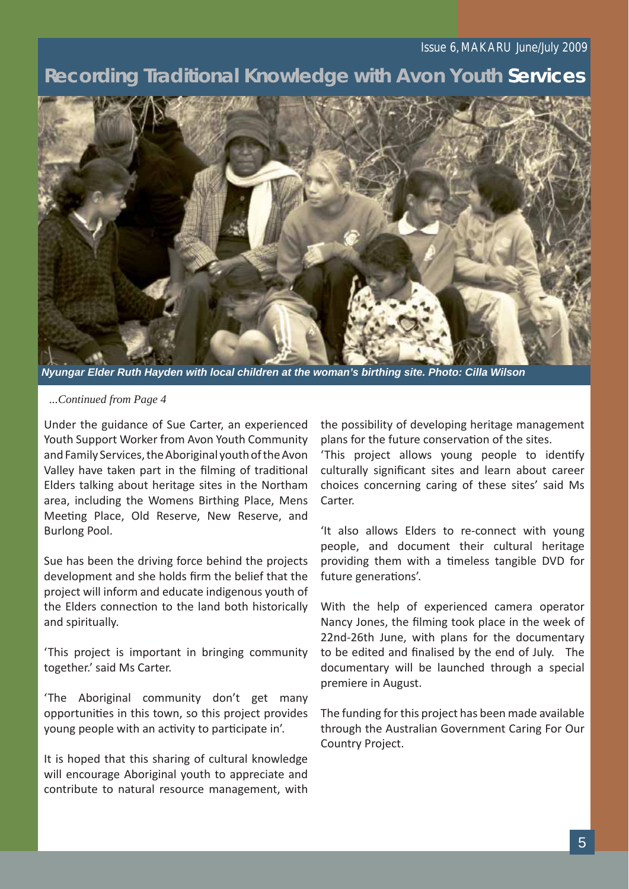#### Issue 6, MAKARU June/July 2009

### **Recording Traditional Knowledge with Avon Youth Services**



*Nyungar Elder Ruth Hayden with local children at the woman's birthing site. Photo: Cilla Wilson*

#### *...Continued from Page 4*

Under the guidance of Sue Carter, an experienced Youth Support Worker from Avon Youth Community and Family Services, the Aboriginal youth of the Avon Valley have taken part in the filming of traditional Elders talking about heritage sites in the Northam area, including the Womens Birthing Place, Mens Meeting Place, Old Reserve, New Reserve, and Burlong Pool.

Sue has been the driving force behind the projects development and she holds firm the belief that the project will inform and educate indigenous youth of the Elders connection to the land both historically and spiritually.

'This project is important in bringing community together.' said Ms Carter.

'The Aboriginal community don't get many opportunities in this town, so this project provides young people with an activity to participate in'.

It is hoped that this sharing of cultural knowledge will encourage Aboriginal youth to appreciate and contribute to natural resource management, with the possibility of developing heritage management plans for the future conservation of the sites.

'This project allows young people to identify culturally significant sites and learn about career choices concerning caring of these sites' said Ms Carter.

'It also allows Elders to re-connect with young people, and document their cultural heritage providing them with a timeless tangible DVD for future generations'.

With the help of experienced camera operator Nancy Jones, the filming took place in the week of 22nd-26th June, with plans for the documentary to be edited and finalised by the end of July. The documentary will be launched through a special premiere in August.

The funding for this project has been made available through the Australian Government Caring For Our Country Project.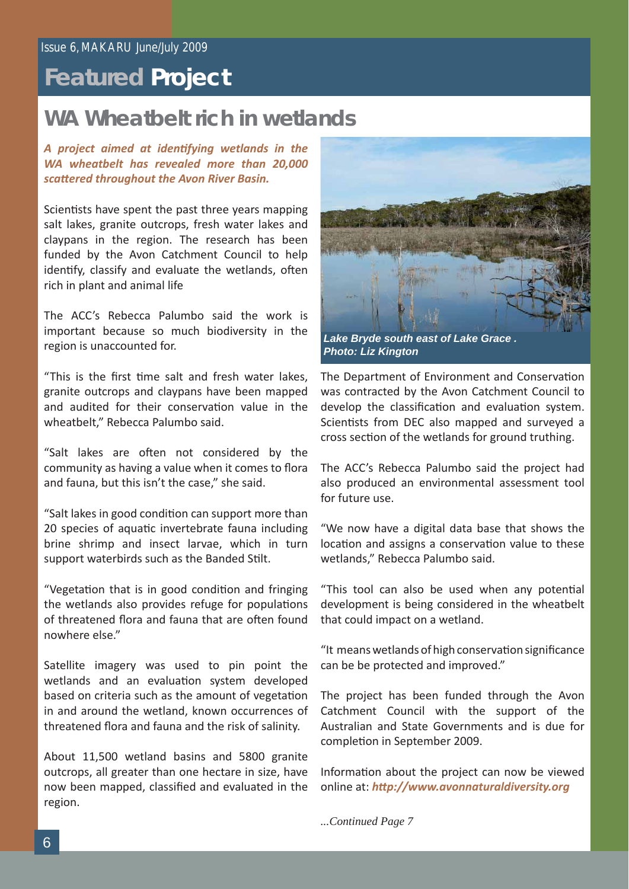## **Featured Project**

### **WA Wheatbelt rich in wetlands**

*A project aimed at identi fying wetlands in the WA wheatbelt has revealed more than 20,000 scatt ered throughout the Avon River Basin.* 

Scientists have spent the past three years mapping salt lakes, granite outcrops, fresh water lakes and claypans in the region. The research has been funded by the Avon Catchment Council to help identify, classify and evaluate the wetlands, often rich in plant and animal life

The ACC's Rebecca Palumbo said the work is important because so much biodiversity in the region is unaccounted for.

"This is the first time salt and fresh water lakes. granite outcrops and claypans have been mapped and audited for their conservation value in the wheatbelt," Rebecca Palumbo said.

"Salt lakes are often not considered by the community as having a value when it comes to flora and fauna, but this isn't the case," she said.

"Salt lakes in good condition can support more than 20 species of aquatic invertebrate fauna including brine shrimp and insect larvae, which in turn support waterbirds such as the Banded Stilt.

"Vegetation that is in good condition and fringing the wetlands also provides refuge for populations of threatened flora and fauna that are often found nowhere else."

Satellite imagery was used to pin point the wetlands and an evaluation system developed based on criteria such as the amount of vegetation in and around the wetland, known occurrences of threatened flora and fauna and the risk of salinity.

About 11,500 wetland basins and 5800 granite outcrops, all greater than one hectare in size, have now been mapped, classified and evaluated in the region.



*Photo: Liz Kington*

The Department of Environment and Conservation was contracted by the Avon Catchment Council to develop the classification and evaluation system. Scientists from DEC also mapped and surveyed a cross section of the wetlands for ground truthing.

The ACC's Rebecca Palumbo said the project had also produced an environmental assessment tool for future use.

"We now have a digital data base that shows the location and assigns a conservation value to these wetlands," Rebecca Palumbo said.

"This tool can also be used when any potential development is being considered in the wheatbelt that could impact on a wetland.

"It means wetlands of high conservation significance can be be protected and improved."

The project has been funded through the Avon Catchment Council with the support of the Australian and State Governments and is due for completion in September 2009.

Information about the project can now be viewed online at: *http://www.avonnaturaldiversity.org* 

*...Continued Page 7*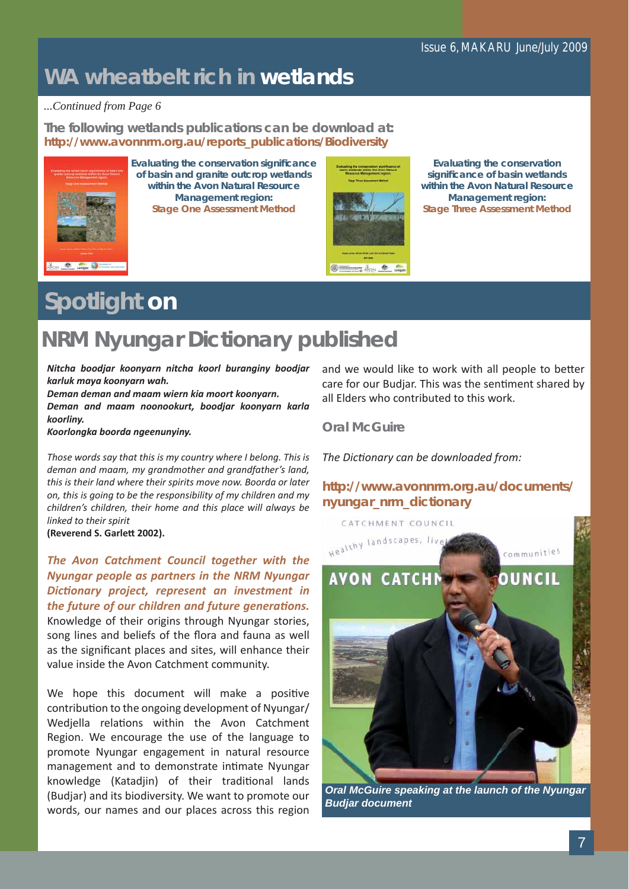### **WA wheatbelt rich in wetlands**

#### *...Continued from Page 6*

**The following wetlands publications can be download at:** *http://www.avonnrm.org.au/reports\_publications/Biodiversity*



**Evaluating the conservation signifi cance of basin and granite outcrop wetlands within the Avon Natural Resource Management region: Stage One Assessment Method**



**Evaluating the conservation signifi cance of basin wetlands within the Avon Natural Resource Management region: Stage Three Assessment Method**

# **Spotlight on**

## **NRM Nyungar Dictionary published**

*Nitcha boodjar koonyarn nitcha koorl buranginy boodjar karluk maya koonyarn wah.*

*Deman deman and maam wiern kia moort koonyarn. Deman and maam noonookurt, boodjar koonyarn karla koorliny.*

*Koorlongka boorda ngeenunyiny.*

*Those words say that this is my country where I belong. This is deman and maam, my grandmother and grandfather's land, this is their land where their spirits move now. Boorda or later on, this is going to be the responsibility of my children and my children's children, their home and this place will always be linked to their spirit*

**(Reverend S. Garlett 2002).**

*The Avon Catchment Council together with the Nyungar people as partners in the NRM Nyungar Dicti onary project, represent an investment in the future of our children and future generations.* Knowledge of their origins through Nyungar stories, song lines and beliefs of the flora and fauna as well as the significant places and sites, will enhance their value inside the Avon Catchment community.

We hope this document will make a positive contribution to the ongoing development of Nyungar/ Wedjella relations within the Avon Catchment Region. We encourage the use of the language to promote Nyungar engagement in natural resource management and to demonstrate intimate Nyungar knowledge (Katadjin) of their traditional lands (Budjar) and its biodiversity. We want to promote our words, our names and our places across this region

and we would like to work with all people to better care for our Budjar. This was the sentiment shared by all Elders who contributed to this work.

### **Oral McGuire**

*The Dicti onary can be downloaded from:*

*http://www.avonnrm.org.au/documents/ nyungar\_nrm\_dictionary*



*Oral McGuire speaking at the launch of the Nyungar Budjar document*